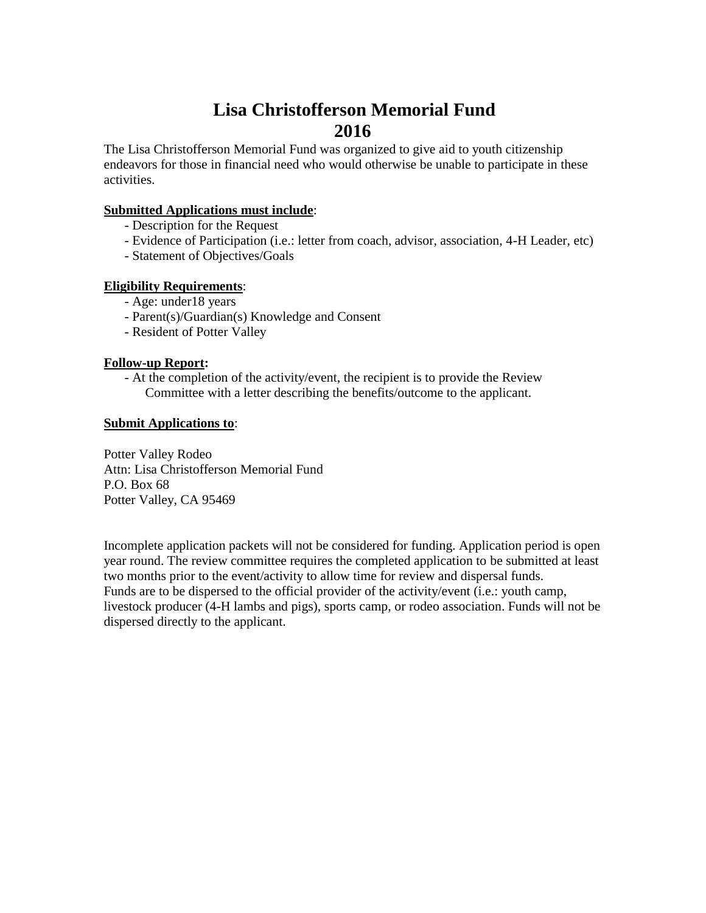## **Lisa Christofferson Memorial Fund 2016**

The Lisa Christofferson Memorial Fund was organized to give aid to youth citizenship endeavors for those in financial need who would otherwise be unable to participate in these activities.

#### **Submitted Applications must include**:

- Description for the Request
- Evidence of Participation (i.e.: letter from coach, advisor, association, 4-H Leader, etc)
- Statement of Objectives/Goals

#### **Eligibility Requirements**:

- Age: under18 years
- Parent(s)/Guardian(s) Knowledge and Consent
- Resident of Potter Valley

#### **Follow-up Report:**

- At the completion of the activity/event, the recipient is to provide the Review Committee with a letter describing the benefits/outcome to the applicant.

#### **Submit Applications to**:

Potter Valley Rodeo Attn: Lisa Christofferson Memorial Fund P.O. Box 68 Potter Valley, CA 95469

Incomplete application packets will not be considered for funding. Application period is open year round. The review committee requires the completed application to be submitted at least two months prior to the event/activity to allow time for review and dispersal funds. Funds are to be dispersed to the official provider of the activity/event (i.e.: youth camp, livestock producer (4-H lambs and pigs), sports camp, or rodeo association. Funds will not be dispersed directly to the applicant.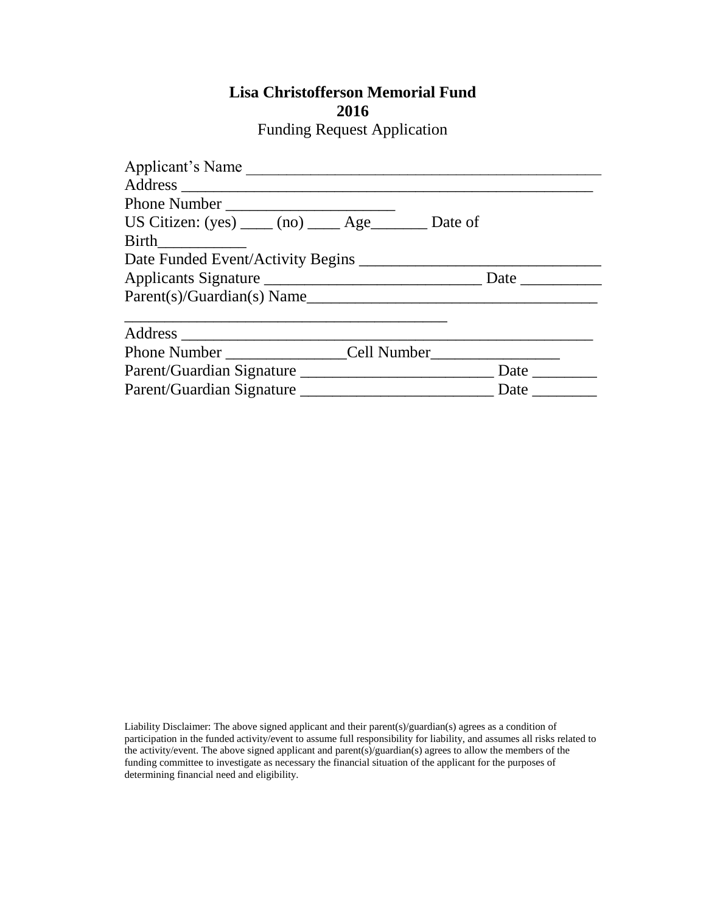# **Lisa Christofferson Memorial Fund**

| ۰. | ۰. |
|----|----|
|----|----|

Funding Request Application

| Applicant's Name                                            |                                                                                                                                                                                                                                      |
|-------------------------------------------------------------|--------------------------------------------------------------------------------------------------------------------------------------------------------------------------------------------------------------------------------------|
|                                                             |                                                                                                                                                                                                                                      |
| Phone Number                                                |                                                                                                                                                                                                                                      |
| US Citizen: $(yes)$ _____ (no) ______ Age__________ Date of |                                                                                                                                                                                                                                      |
| <b>Birth</b>                                                |                                                                                                                                                                                                                                      |
|                                                             |                                                                                                                                                                                                                                      |
| Applicants Signature                                        | Date                                                                                                                                                                                                                                 |
| Parent(s)/Guardian(s) Name                                  |                                                                                                                                                                                                                                      |
|                                                             |                                                                                                                                                                                                                                      |
|                                                             |                                                                                                                                                                                                                                      |
| Phone Number Cell Number                                    |                                                                                                                                                                                                                                      |
| Parent/Guardian Signature                                   | Date <u>in the set of the set of the set of the set of the set of the set of the set of the set of the set of the set of the set of the set of the set of the set of the set of the set of the set of the set of the set of the </u> |
|                                                             | Date                                                                                                                                                                                                                                 |

Liability Disclaimer: The above signed applicant and their parent(s)/guardian(s) agrees as a condition of participation in the funded activity/event to assume full responsibility for liability, and assumes all risks related to the activity/event. The above signed applicant and parent(s)/guardian(s) agrees to allow the members of the funding committee to investigate as necessary the financial situation of the applicant for the purposes of determining financial need and eligibility.